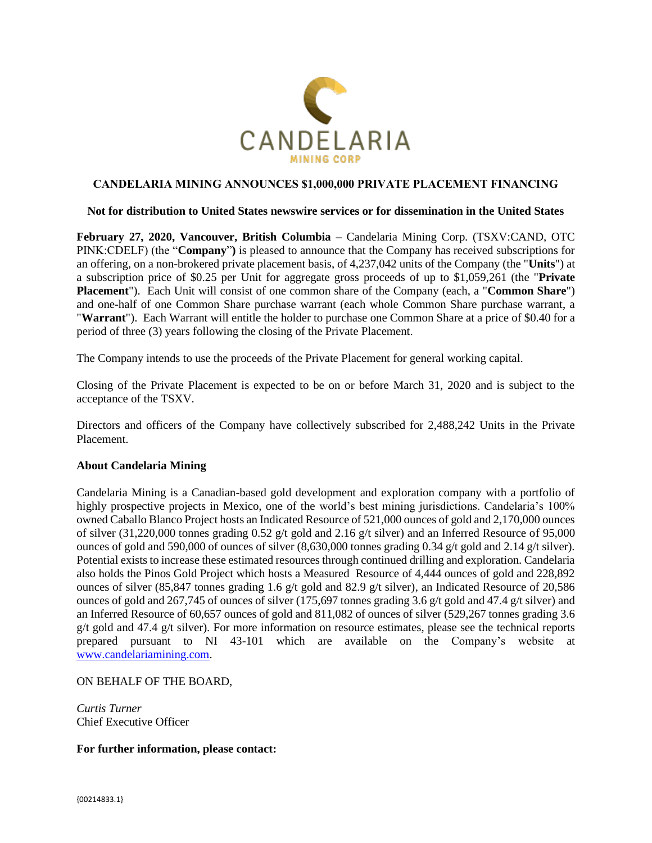

## **CANDELARIA MINING ANNOUNCES \$1,000,000 PRIVATE PLACEMENT FINANCING**

## **Not for distribution to United States newswire services or for dissemination in the United States**

**February 27, 2020, Vancouver, British Columbia –** Candelaria Mining Corp. (TSXV:CAND, OTC PINK:CDELF) (the "**Company**"**)** is pleased to announce that the Company has received subscriptions for an offering, on a non-brokered private placement basis, of 4,237,042 units of the Company (the "**Units**") at a subscription price of \$0.25 per Unit for aggregate gross proceeds of up to \$1,059,261 (the "**Private Placement**"). Each Unit will consist of one common share of the Company (each, a "**Common Share**") and one-half of one Common Share purchase warrant (each whole Common Share purchase warrant, a "**Warrant**"). Each Warrant will entitle the holder to purchase one Common Share at a price of \$0.40 for a period of three (3) years following the closing of the Private Placement.

The Company intends to use the proceeds of the Private Placement for general working capital.

Closing of the Private Placement is expected to be on or before March 31, 2020 and is subject to the acceptance of the TSXV.

Directors and officers of the Company have collectively subscribed for 2,488,242 Units in the Private Placement.

## **About Candelaria Mining**

Candelaria Mining is a Canadian-based gold development and exploration company with a portfolio of highly prospective projects in Mexico, one of the world's best mining jurisdictions. Candelaria's 100% owned Caballo Blanco Project hosts an Indicated Resource of 521,000 ounces of gold and 2,170,000 ounces of silver (31,220,000 tonnes grading 0.52 g/t gold and 2.16 g/t silver) and an Inferred Resource of 95,000 ounces of gold and 590,000 of ounces of silver (8,630,000 tonnes grading 0.34 g/t gold and 2.14 g/t silver). Potential exists to increase these estimated resources through continued drilling and exploration. Candelaria also holds the Pinos Gold Project which hosts a Measured Resource of 4,444 ounces of gold and 228,892 ounces of silver (85,847 tonnes grading 1.6 g/t gold and 82.9 g/t silver), an Indicated Resource of 20,586 ounces of gold and 267,745 of ounces of silver (175,697 tonnes grading 3.6 g/t gold and 47.4 g/t silver) and an Inferred Resource of 60,657 ounces of gold and 811,082 of ounces of silver (529,267 tonnes grading 3.6 g/t gold and 47.4 g/t silver). For more information on resource estimates, please see the technical reports prepared pursuant to NI 43-101 which are available on the Company's website at [www.candelariamining.com.](http://www.candelariamining.com/)

ON BEHALF OF THE BOARD,

*Curtis Turner* Chief Executive Officer

**For further information, please contact:**